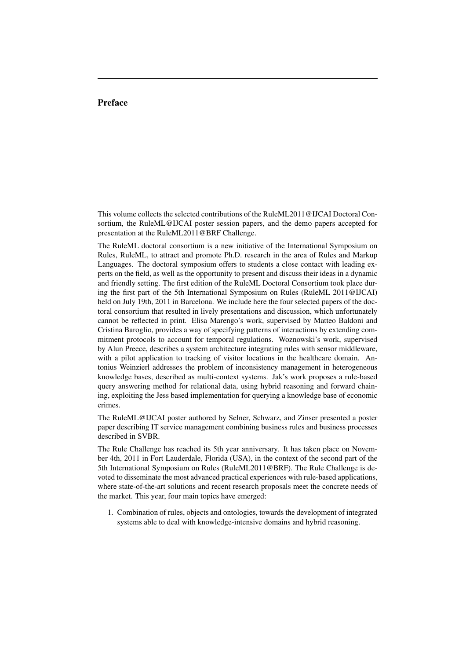## Preface

This volume collects the selected contributions of the RuleML2011@IJCAI Doctoral Consortium, the RuleML@IJCAI poster session papers, and the demo papers accepted for presentation at the RuleML2011@BRF Challenge.

The RuleML doctoral consortium is a new initiative of the International Symposium on Rules, RuleML, to attract and promote Ph.D. research in the area of Rules and Markup Languages. The doctoral symposium offers to students a close contact with leading experts on the field, as well as the opportunity to present and discuss their ideas in a dynamic and friendly setting. The first edition of the RuleML Doctoral Consortium took place during the first part of the 5th International Symposium on Rules (RuleML 2011@IJCAI) held on July 19th, 2011 in Barcelona. We include here the four selected papers of the doctoral consortium that resulted in lively presentations and discussion, which unfortunately cannot be reflected in print. Elisa Marengo's work, supervised by Matteo Baldoni and Cristina Baroglio, provides a way of specifying patterns of interactions by extending commitment protocols to account for temporal regulations. Woznowski's work, supervised by Alun Preece, describes a system architecture integrating rules with sensor middleware, with a pilot application to tracking of visitor locations in the healthcare domain. Antonius Weinzierl addresses the problem of inconsistency management in heterogeneous knowledge bases, described as multi-context systems. Jak's work proposes a rule-based query answering method for relational data, using hybrid reasoning and forward chaining, exploiting the Jess based implementation for querying a knowledge base of economic crimes.

The RuleML@IJCAI poster authored by Selner, Schwarz, and Zinser presented a poster paper describing IT service management combining business rules and business processes described in SVBR.

The Rule Challenge has reached its 5th year anniversary. It has taken place on November 4th, 2011 in Fort Lauderdale, Florida (USA), in the context of the second part of the 5th International Symposium on Rules (RuleML2011@BRF). The Rule Challenge is devoted to disseminate the most advanced practical experiences with rule-based applications, where state-of-the-art solutions and recent research proposals meet the concrete needs of the market. This year, four main topics have emerged:

1. Combination of rules, objects and ontologies, towards the development of integrated systems able to deal with knowledge-intensive domains and hybrid reasoning.